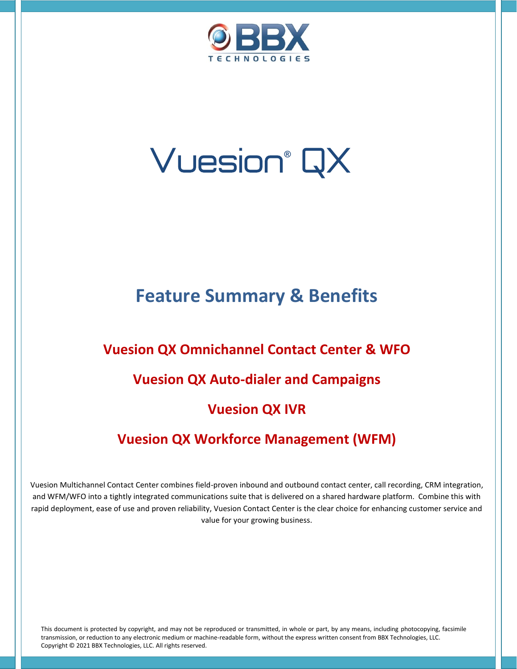

# Vuesion® QX

# **Feature Summary & Benefits**

# **Vuesion QX Omnichannel Contact Center & WFO**

# **Vuesion QX Auto-dialer and Campaigns**

# **Vuesion QX IVR**

# **Vuesion QX Workforce Management (WFM)**

Vuesion Multichannel Contact Center combines field-proven inbound and outbound contact center, call recording, CRM integration, and WFM/WFO into a tightly integrated communications suite that is delivered on a shared hardware platform. Combine this with rapid deployment, ease of use and proven reliability, Vuesion Contact Center is the clear choice for enhancing customer service and value for your growing business.

This document is protected by copyright, and may not be reproduced or transmitted, in whole or part, by any means, including photocopying, facsimile transmission, or reduction to any electronic medium or machine-readable form, without the express written consent from BBX Technologies, LLC. Copyright © 2021 BBX Technologies, LLC. All rights reserved.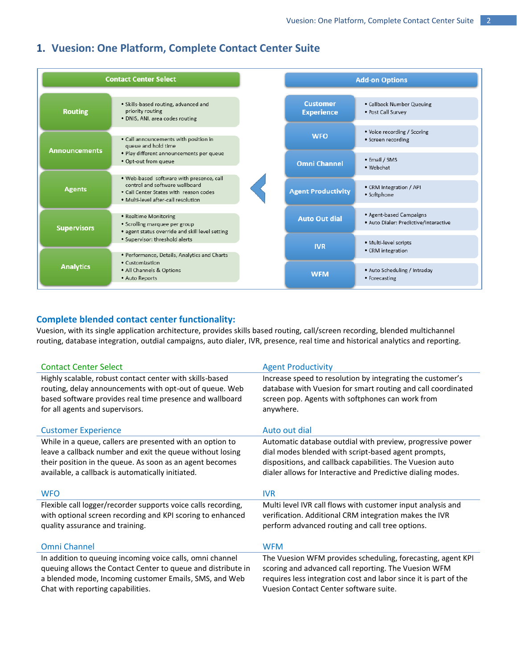# **1. Vuesion: One Platform, Complete Contact Center Suite**

| <b>Contact Center Select</b> |                                                                                                                                                             |  |
|------------------------------|-------------------------------------------------------------------------------------------------------------------------------------------------------------|--|
| <b>Routing</b>               | · Skills-based routing, advanced and<br>priority routing<br>· DNIS, ANI, area codes routing                                                                 |  |
| <b>Announcements</b>         | • Call announcements with position in<br>queue and hold time                                                                                                |  |
|                              | · Play different announcements per queue<br>. Opt-out from queue                                                                                            |  |
| <b>Agents</b>                | . Web-based software with presence, call<br>control and software wallboard<br>• Call Center States with reason codes<br>. Multi-level after-call resolution |  |
| <b>Supervisors</b>           | • Realtime Monitoring<br>• Scrolling marquee per group<br>· agent status override and skill level setting                                                   |  |
|                              | · Supervisor: threshold alerts<br>· Performance, Details, Analytics and Charts                                                                              |  |
| <b>Analytics</b>             | • Customization<br>• All Channels & Options<br>• Auto Reports                                                                                               |  |

## **Complete blended contact center functionality:**

Vuesion, with its single application architecture, provides skills based routing, call/screen recording, blended multichannel routing, database integration, outdial campaigns, auto dialer, IVR, presence, real time and historical analytics and reporting.

| <b>Contact Center Select</b>                                                                                                                                                                                                            | <b>Agent Productivity</b>                                                                                                                                                                                                                     |
|-----------------------------------------------------------------------------------------------------------------------------------------------------------------------------------------------------------------------------------------|-----------------------------------------------------------------------------------------------------------------------------------------------------------------------------------------------------------------------------------------------|
| Highly scalable, robust contact center with skills-based<br>routing, delay announcements with opt-out of queue. Web<br>based software provides real time presence and wallboard<br>for all agents and supervisors.                      | Increase speed to resolution by integrating the customer's<br>database with Vuesion for smart routing and call coordinated<br>screen pop. Agents with softphones can work from<br>anywhere.                                                   |
| <b>Customer Experience</b>                                                                                                                                                                                                              | Auto out dial                                                                                                                                                                                                                                 |
| While in a queue, callers are presented with an option to<br>leave a callback number and exit the queue without losing<br>their position in the queue. As soon as an agent becomes<br>available, a callback is automatically initiated. | Automatic database outdial with preview, progressive power<br>dial modes blended with script-based agent prompts,<br>dispositions, and callback capabilities. The Vuesion auto<br>dialer allows for Interactive and Predictive dialing modes. |
|                                                                                                                                                                                                                                         |                                                                                                                                                                                                                                               |
| <b>WFO</b>                                                                                                                                                                                                                              | <b>IVR</b>                                                                                                                                                                                                                                    |
| Flexible call logger/recorder supports voice calls recording,<br>with optional screen recording and KPI scoring to enhanced<br>quality assurance and training.                                                                          | Multi level IVR call flows with customer input analysis and<br>verification. Additional CRM integration makes the IVR<br>perform advanced routing and call tree options.                                                                      |
| <b>Omni Channel</b>                                                                                                                                                                                                                     | <b>WFM</b>                                                                                                                                                                                                                                    |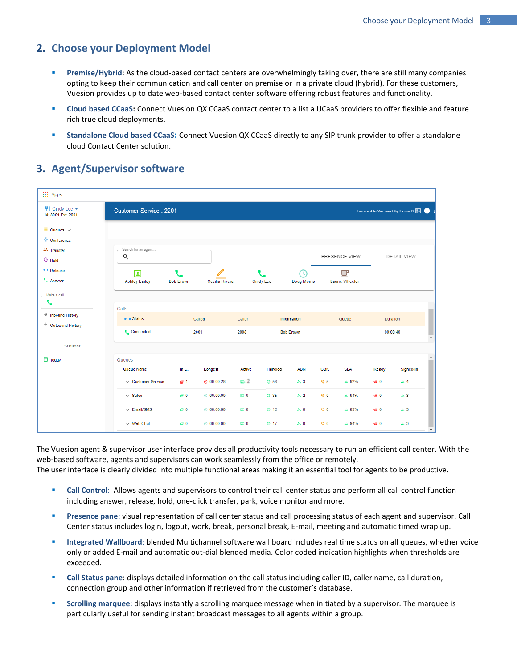## **2. Choose your Deployment Model**

- **Premise/Hybrid:** As the cloud-based contact centers are overwhelmingly taking over, there are still many companies opting to keep their communication and call center on premise or in a private cloud (hybrid). For these customers, Vuesion provides up to date web-based contact center software offering robust features and functionality.
- **EXECT** Cloud based CCaaS: Connect Vuesion QX CCaaS contact center to a list a UCaaS providers to offer flexible and feature rich true cloud deployments.
- **EXECTADE Standalone Cloud based CCaaS**: Connect Vuesion QX CCaaS directly to any SIP trunk provider to offer a standalone cloud Contact Center solution.

# **3. Agent/Supervisor software**

| <b>III</b> Apps                                     |                               |                  |                |            |                  |                    |             |                     |               |                                 |
|-----------------------------------------------------|-------------------------------|------------------|----------------|------------|------------------|--------------------|-------------|---------------------|---------------|---------------------------------|
| $\P$ Cindy Lee $\star$<br>Id: 8001 Ext: 2001        | <b>Customer Service: 2201</b> |                  |                |            |                  |                    |             |                     |               | Licensed to: Vuesion Sky Demo B |
| $\equiv$ Queues $\sim$                              |                               |                  |                |            |                  |                    |             |                     |               |                                 |
| ** Conference                                       |                               |                  |                |            |                  |                    |             |                     |               |                                 |
| <b>AL</b> Transfer<br>$@$ Hold                      | Search for an agent<br>Q      |                  |                |            |                  |                    |             | PRESENCE VIEW       |               | DETAIL VIEW                     |
| Release                                             |                               |                  |                |            |                  | TC.                |             |                     |               |                                 |
| L Answer                                            | 囗<br><b>Ashley Bailey</b>     | <b>Bob Brown</b> | Cecilia Rivera |            | <b>Cindy Lee</b> | <b>Doug Morris</b> |             | 므<br>Laurie Wheeler |               |                                 |
| Make a call -<br>L                                  |                               |                  |                |            |                  |                    |             |                     |               |                                 |
|                                                     | Calls                         |                  |                |            |                  |                    |             |                     |               |                                 |
| $\rightarrow$ Inbound History<br>← Outbound History | Status                        |                  | Called         | Caller     |                  | Information        |             | Queue               |               | <b>Duration</b>                 |
|                                                     | <b>L</b> Connected            |                  | 2001           | 2008       |                  | <b>Bob Brown</b>   |             |                     |               | 00:00:40                        |
| <b>Statistics</b>                                   |                               |                  |                |            |                  |                    |             |                     |               |                                 |
| <b>门</b> Today                                      | Queues                        |                  |                |            |                  |                    |             |                     |               |                                 |
|                                                     | Queue Name                    | In $Q$ .         | Longest        | Active     | Handled          | <b>ABN</b>         | <b>CBK</b>  | <b>SLA</b>          | Ready         | Signed-In                       |
|                                                     | $\vee$ Customer Service       | ■ 1              | $Q = 00:00:28$ | 20.2       | ◎ 58             | 253                | 地 5         | $\triangle$ 92%     | <b>ex. 0</b>  | 22.4                            |
|                                                     | $\vee$ Sales                  | 0 <sup>1</sup>   | @00:00:00      | <b>240</b> | ◎ 35             | 2 <sub>2</sub>     | $\approx 0$ | $\triangle$ 94%     | <b>48.0</b>   | a. 3                            |
|                                                     | $\vee$ Email/SMS              | 0 <sup>1</sup>   | @ 00:00:00     | <b>240</b> | $\odot$ 12       | 250                | $\approx 0$ | $\triangle$ 83%     | <b>48.0</b>   | 2.3                             |
|                                                     | $\vee$ Web Chat               | 图 0              | @ 00:00:00     | <b>240</b> | <b>⊘</b> 17      | $\approx 0$        | ঙ 0         | $\triangle$ 94%     | <b>utt.</b> 0 | <b>出</b> 3                      |

The Vuesion agent & supervisor user interface provides all productivity tools necessary to run an efficient call center. With the web-based software, agents and supervisors can work seamlessly from the office or remotely. The user interface is clearly divided into multiple functional areas making it an essential tool for agents to be productive.

- **Call Control:** Allows agents and supervisors to control their call center status and perform all call control function including answer, release, hold, one-click transfer, park, voice monitor and more.
- **Presence pane**: visual representation of call center status and call processing status of each agent and supervisor. Call Center status includes login, logout, work, break, personal break, E-mail, meeting and automatic timed wrap up.
- **EXECT** Integrated Wallboard: blended Multichannel software wall board includes real time status on all queues, whether voice only or added E-mail and automatic out-dial blended media. Color coded indication highlights when thresholds are exceeded.
- **Call Status pane**: displays detailed information on the call status including caller ID, caller name, call duration, connection group and other information if retrieved from the customer's database.
- **Scrolling marquee**: displays instantly a scrolling marquee message when initiated by a supervisor. The marquee is particularly useful for sending instant broadcast messages to all agents within a group.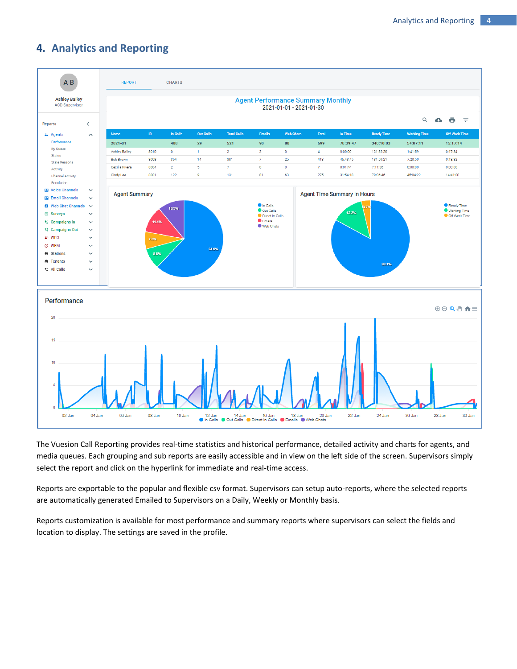# **4. Analytics and Reporting**



The Vuesion Call Reporting provides real-time statistics and historical performance, detailed activity and charts for agents, and media queues. Each grouping and sub reports are easily accessible and in view on the left side of the screen. Supervisors simply select the report and click on the hyperlink for immediate and real-time access.

Reports are exportable to the popular and flexible csv format. Supervisors can setup auto-reports, where the selected reports are automatically generated Emailed to Supervisors on a Daily, Weekly or Monthly basis.

Reports customization is available for most performance and summary reports where supervisors can select the fields and location to display. The settings are saved in the profile.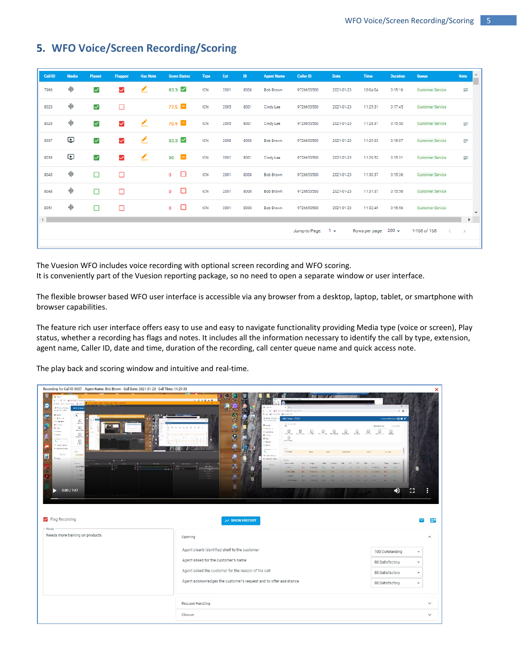# **5. WFO Voice/Screen Recording/Scoring**

| Call ID                                                     | Media                   | Played               | Flagged      | <b>Has Note</b> | <b>Score Status</b>      | <b>Type</b> | Ext  | ID   | <b>Agent Name</b> | <b>Caller ID</b>    | <b>Date</b> | Time                   | <b>Duration</b> | <b>Queue</b>            | <b>Note</b>                            |
|-------------------------------------------------------------|-------------------------|----------------------|--------------|-----------------|--------------------------|-------------|------|------|-------------------|---------------------|-------------|------------------------|-----------------|-------------------------|----------------------------------------|
| 7968                                                        | 业                       | $\blacktriangledown$ | $\checkmark$ | ∠               | 83.3 $\vee$              | <b>ICN</b>  | 2001 | 8008 | <b>Bob Brown</b>  | 9726653500          | 2021-01-23  | 10:04:04               | 0:15:16         | <b>Customer Service</b> | ≡                                      |
| 8023                                                        | 业                       | $\blacktriangledown$ | $\Box$       |                 | 77.5                     | <b>ICN</b>  | 2005 | 8001 | <b>Cindy Lee</b>  | 9726653500          | 2021-01-23  | 11:25:31               | 0:17:45         | <b>Customer Service</b> |                                        |
| 8028                                                        | 业                       | $\blacktriangledown$ | $\checkmark$ | ∠               | 70.9                     | <b>ICN</b>  | 2005 | 8001 | <b>Cindy Lee</b>  | 9726653500          | 2021-01-23  | 11:28:31               | 0:15:50         | <b>Customer Service</b> | ≡                                      |
| 8037                                                        | $\overline{\mathbf{C}}$ | $\blacktriangledown$ | $\checkmark$ | ∠               | 83.3 $\vee$              | <b>ICN</b>  | 2008 | 8008 | <b>Bob Brown</b>  | 9726653500          | 2021-01-23  | 11:29:33               | 0:15:07         | <b>Customer Service</b> | ≡                                      |
| 8038                                                        | $\overline{\mathbf{C}}$ | $\blacktriangledown$ | $\checkmark$ | ∠               | $90$ $\Box$              | <b>ICN</b>  | 2001 | 8001 | <b>Cindy Lee</b>  | 9726653500          | 2021-01-23  | 11:29:52               | 0:15:31         | <b>Customer Service</b> | Ξ                                      |
| 8045                                                        | 业                       | □                    | □            |                 | $\Box$<br>$\mathbf{0}$   | <b>ICN</b>  | 2001 | 8008 | <b>Bob Brown</b>  | 9726653500          | 2021-01-23  | 11:30:37               | 0:15:36         | <b>Customer Service</b> |                                        |
| 8048                                                        | 业                       | $\Box$               | $\Box$       |                 | □<br>$\mathbf{0}$        | <b>ICN</b>  | 2001 | 8008 | <b>Bob Brown</b>  | 9726653500          | 2021-01-23  | 11:31:37               | 0:15:56         | <b>Customer Service</b> |                                        |
| 8051                                                        | 业                       | $\Box$               | $\Box$       |                 | $\Box$<br>$\overline{0}$ | <b>ICN</b>  | 2001 | 8008 | <b>Bob Brown</b>  | 9726653500          | 2021-01-23  | 11:32:49               | 0:15:56         | <b>Customer Service</b> | $\overline{\phantom{a}}$               |
| $\left\vert 1\right\rangle$ and $\left\vert 1\right\rangle$ |                         |                      |              |                 |                          |             |      |      |                   | Jump to Page: $1 -$ |             | Rows per page: $200 -$ |                 | 1-168 of 168            | $\mathbb F$<br>$\langle \quad \rangle$ |

The Vuesion WFO includes voice recording with optional screen recording and WFO scoring. It is conveniently part of the Vuesion reporting package, so no need to open a separate window or user interface.

The flexible browser based WFO user interface is accessible via any browser from a desktop, laptop, tablet, or smartphone with browser capabilities.

The feature rich user interface offers easy to use and easy to navigate functionality providing Media type (voice or screen), Play status, whether a recording has flags and notes. It includes all the information necessary to identify the call by type, extension, agent name, Caller ID, date and time, duration of the recording, call center queue name and quick access note.

The play back and scoring window and intuitive and real-time.

| Recording for Call ID 8037 Agent Name: Bob Brown Call Date: 2021-01-23 Call Time: 11:29:33                                                                                                                                                                                                                                                                                                                                                                                                                                                                                                                                                                                                                                                                                                                                                  |                                                                                                                                                                                                                                                                                                                                                                                                                                                                                                                                                                                                                                                                                                                                                                                                                                                                                                                                                                   |                                                                                                                                                                                                                                                                                         | ×              |
|---------------------------------------------------------------------------------------------------------------------------------------------------------------------------------------------------------------------------------------------------------------------------------------------------------------------------------------------------------------------------------------------------------------------------------------------------------------------------------------------------------------------------------------------------------------------------------------------------------------------------------------------------------------------------------------------------------------------------------------------------------------------------------------------------------------------------------------------|-------------------------------------------------------------------------------------------------------------------------------------------------------------------------------------------------------------------------------------------------------------------------------------------------------------------------------------------------------------------------------------------------------------------------------------------------------------------------------------------------------------------------------------------------------------------------------------------------------------------------------------------------------------------------------------------------------------------------------------------------------------------------------------------------------------------------------------------------------------------------------------------------------------------------------------------------------------------|-----------------------------------------------------------------------------------------------------------------------------------------------------------------------------------------------------------------------------------------------------------------------------------------|----------------|
| or it<br>E - C - A Mineral Stationage<br>If we are the construction of<br>٥<br><b>The Property and Property Company's Company</b><br>I Brassy Favor +<br>ABC Public<br>R. Corp.<br>according start<br>$\frac{6\pi e^{2\pi i t}}{R}$<br>A way.<br><b>FiiD</b><br><b>Book</b><br>$\mathbb{E}$<br>illino.<br>è conversi<br><b>Millenes</b><br>$\begin{array}{c} \boxed{\frac{1}{2}} \\ \frac{1}{2} \end{array}$<br>O so<br><b>CONG P</b><br>$\Xi$<br><b>SAWE</b><br>e l<br>$\mathbf{C}^{\mathrm{max}}$<br>s.<br>$\sim$<br>c<br>$\begin{array}{c} \boxed{2}\\ \hline \text{where}\\ \end{array}$<br>4 searcher<br><b>CONSIGNS</b><br><b>Contract</b><br>Data:<br>35615<br>nere<br>Q<br>H Toby<br><b>Green</b><br>$\bullet$<br>$\alpha -$<br>Sirie<br>Dick Now<br>$\sim$ 1.60<br><b>CENSO</b><br><b>V Che's</b><br>0:00/7:47<br>✔ Flag Recording | Θ<br>ē.<br>$\frac{1}{2}$<br>L<br>$x +$<br><b>C ANONCIPACTOR</b><br>医甲酰甲氨酸 医甲基甲基甲基<br>The court<br>۵<br><b>Z</b> Auto Inners<br>ABC Swies - 77222<br><b>Charles State</b><br>ã<br>Avree<br>City<br><b>Bitance</b><br>$\ensuremath{\boxdot}$<br>$\frac{D}{\sqrt{2}}$<br>$\mathbb{E}_{\mathbb{R}^m}$<br>무<br>$\boxed{\underline{z}}$<br>$\Xi$<br>문<br>$\boxed{\underline{z}}$<br>0- contentes<br><b>B</b> cars:<br>$\Xi$<br><b>BAC</b><br>* Kingdom<br>Lieger<br>孎<br>tit.<br>Met in<br><b>CONTROL</b><br>ces.<br>cos<br>Idesde<br>$\partial \phi(\mathbf{x})$<br><b>Fabric Miles</b><br>+ cascara aray<br>Costa's<br><b>CANCISTA</b><br>$\sim$<br>$-2$<br>testo<br>Adv.<br>4704<br>Ca <sup>+</sup><br>C24<br>1545<br><b>KINDS</b><br><b>SAULI</b><br><b>GALLIN</b><br>$\sim$ X-1-C<br>100 30 40 50<br>鹽<br>7268<br>$\mathbf{r}_i$<br><b>SACTOR</b><br><b>CERRY</b><br>匾<br><b>ITTORIE</b><br>2100.21<br><b>MENT</b><br>How .<br>and the<br>Ė<br>$\sim$ SHOW HISTORY | m.<br>$\hat{B}$ $\theta$<br><b>Considerations of ELO &amp;</b><br>Calls, KW<br><b>WEIGHT &amp; STO</b><br>$\Xi$<br>且<br><b>Division</b><br>Special Concerts<br>$\alpha$<br>$\mathbb{R}$<br>in cranic.<br>鶥<br><b>CALLS</b><br>é.<br>$\mathbf{B}$<br>$\sim$<br>n<br>$\blacktriangleleft$ | 2 <sup>m</sup> |
| Notes<br>Needs more training on products                                                                                                                                                                                                                                                                                                                                                                                                                                                                                                                                                                                                                                                                                                                                                                                                    | Opening                                                                                                                                                                                                                                                                                                                                                                                                                                                                                                                                                                                                                                                                                                                                                                                                                                                                                                                                                           |                                                                                                                                                                                                                                                                                         | $\wedge$       |
|                                                                                                                                                                                                                                                                                                                                                                                                                                                                                                                                                                                                                                                                                                                                                                                                                                             | Agent clearly identified shelf to the customer                                                                                                                                                                                                                                                                                                                                                                                                                                                                                                                                                                                                                                                                                                                                                                                                                                                                                                                    | 100:Outstanding<br>$\;$                                                                                                                                                                                                                                                                 |                |
|                                                                                                                                                                                                                                                                                                                                                                                                                                                                                                                                                                                                                                                                                                                                                                                                                                             | Agent asked for the customer's name                                                                                                                                                                                                                                                                                                                                                                                                                                                                                                                                                                                                                                                                                                                                                                                                                                                                                                                               | 80:Satisfactory<br>÷                                                                                                                                                                                                                                                                    |                |
|                                                                                                                                                                                                                                                                                                                                                                                                                                                                                                                                                                                                                                                                                                                                                                                                                                             | Agent asked the customer for the reason of the call                                                                                                                                                                                                                                                                                                                                                                                                                                                                                                                                                                                                                                                                                                                                                                                                                                                                                                               | 80:Satisfactory<br>$\mathbf{v}$                                                                                                                                                                                                                                                         |                |
|                                                                                                                                                                                                                                                                                                                                                                                                                                                                                                                                                                                                                                                                                                                                                                                                                                             | Agent acknowledges the customer's request and to offer assistance                                                                                                                                                                                                                                                                                                                                                                                                                                                                                                                                                                                                                                                                                                                                                                                                                                                                                                 | 80:Satisfactory<br>÷                                                                                                                                                                                                                                                                    |                |
|                                                                                                                                                                                                                                                                                                                                                                                                                                                                                                                                                                                                                                                                                                                                                                                                                                             | Request Handling                                                                                                                                                                                                                                                                                                                                                                                                                                                                                                                                                                                                                                                                                                                                                                                                                                                                                                                                                  |                                                                                                                                                                                                                                                                                         | $\checkmark$   |
|                                                                                                                                                                                                                                                                                                                                                                                                                                                                                                                                                                                                                                                                                                                                                                                                                                             | Closure                                                                                                                                                                                                                                                                                                                                                                                                                                                                                                                                                                                                                                                                                                                                                                                                                                                                                                                                                           |                                                                                                                                                                                                                                                                                         | $\checkmark$   |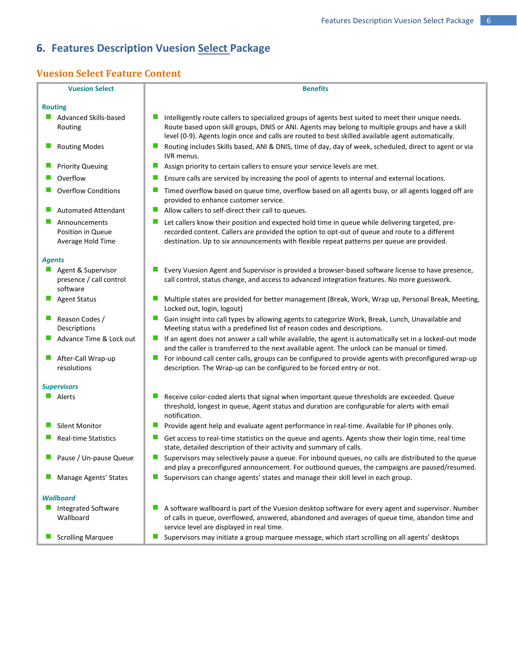# **6. Features Description Vuesion Select Package**

# **Vuesion Select Feature Content**

| <b>Vuesion Select</b><br><b>Benefits</b><br><b>Routing</b><br>Intelligently route callers to specialized groups of agents best suited to meet their unique needs.<br>Advanced Skills-based<br>Route based upon skill groups, DNIS or ANI. Agents may belong to multiple groups and have a skill<br>Routing<br>level (0-9). Agents login once and calls are routed to best skilled available agent automatically.<br>Routing includes Skills based, ANI & DNIS, time of day, day of week, scheduled, direct to agent or via<br><b>Routing Modes</b><br>IVR menus.<br><b>Priority Queuing</b><br>u,<br>Assign priority to certain callers to ensure your service levels are met.<br>Overflow<br>Ensure calls are serviced by increasing the pool of agents to internal and external locations.<br><b>Overflow Conditions</b><br>Timed overflow based on queue time, overflow based on all agents busy, or all agents logged off are<br>ш<br>provided to enhance customer service.<br>Allow callers to self-direct their call to queues.<br><b>Automated Attendant</b><br>ш<br>Announcements<br>Let callers know their position and expected hold time in queue while delivering targeted, pre-<br>recorded content. Callers are provided the option to opt-out of queue and route to a different<br>Position in Queue<br>destination. Up to six announcements with flexible repeat patterns per queue are provided.<br>Average Hold Time<br><b>Agents</b><br>Agent & Supervisor<br>Every Vuesion Agent and Supervisor is provided a browser-based software license to have presence,<br>presence / call control<br>call control, status change, and access to advanced integration features. No more guesswork.<br>software<br><b>Agent Status</b><br>Multiple states are provided for better management (Break, Work, Wrap up, Personal Break, Meeting,<br>Locked out, login, logout)<br>Reason Codes /<br>Gain insight into call types by allowing agents to categorize Work, Break, Lunch, Unavailable and<br>Meeting status with a predefined list of reason codes and descriptions.<br>Descriptions<br>Advance Time & Lock out<br>If an agent does not answer a call while available, the agent is automatically set in a locked-out mode<br>ш<br>and the caller is transferred to the next available agent. The unlock can be manual or timed.<br>For inbound call center calls, groups can be configured to provide agents with preconfigured wrap-up<br>After-Call Wrap-up<br>ш<br>resolutions<br>description. The Wrap-up can be configured to be forced entry or not.<br><b>Supervisors</b><br>Alerts<br>Receive color-coded alerts that signal when important queue thresholds are exceeded. Queue<br>ш<br>threshold, longest in queue, Agent status and duration are configurable for alerts with email<br>notification.<br><b>Silent Monitor</b><br>Provide agent help and evaluate agent performance in real-time. Available for IP phones only.<br><b>Real-time Statistics</b><br>Get access to real-time statistics on the queue and agents. Agents show their login time, real time<br>ш<br>state, detailed description of their activity and summary of calls.<br>Pause / Un-pause Queue<br>Supervisors may selectively pause a queue. For inbound queues, no calls are distributed to the queue<br>and play a preconfigured announcement. For outbound queues, the campaigns are paused/resumed.<br>Manage Agents' States<br>Supervisors can change agents' states and manage their skill level in each group.<br>ш |  |
|--------------------------------------------------------------------------------------------------------------------------------------------------------------------------------------------------------------------------------------------------------------------------------------------------------------------------------------------------------------------------------------------------------------------------------------------------------------------------------------------------------------------------------------------------------------------------------------------------------------------------------------------------------------------------------------------------------------------------------------------------------------------------------------------------------------------------------------------------------------------------------------------------------------------------------------------------------------------------------------------------------------------------------------------------------------------------------------------------------------------------------------------------------------------------------------------------------------------------------------------------------------------------------------------------------------------------------------------------------------------------------------------------------------------------------------------------------------------------------------------------------------------------------------------------------------------------------------------------------------------------------------------------------------------------------------------------------------------------------------------------------------------------------------------------------------------------------------------------------------------------------------------------------------------------------------------------------------------------------------------------------------------------------------------------------------------------------------------------------------------------------------------------------------------------------------------------------------------------------------------------------------------------------------------------------------------------------------------------------------------------------------------------------------------------------------------------------------------------------------------------------------------------------------------------------------------------------------------------------------------------------------------------------------------------------------------------------------------------------------------------------------------------------------------------------------------------------------------------------------------------------------------------------------------------------------------------------------------------------------------------------------------------------------------------------------------------------------------------------------------------------------------------------------------------------------------------------------------------------------------------------------------------------------------------------------------------------------------------------------------------------------------------------------------------------------------------------------------------------------------------------------------------------------|--|
|                                                                                                                                                                                                                                                                                                                                                                                                                                                                                                                                                                                                                                                                                                                                                                                                                                                                                                                                                                                                                                                                                                                                                                                                                                                                                                                                                                                                                                                                                                                                                                                                                                                                                                                                                                                                                                                                                                                                                                                                                                                                                                                                                                                                                                                                                                                                                                                                                                                                                                                                                                                                                                                                                                                                                                                                                                                                                                                                                                                                                                                                                                                                                                                                                                                                                                                                                                                                                                                                                                                                      |  |
|                                                                                                                                                                                                                                                                                                                                                                                                                                                                                                                                                                                                                                                                                                                                                                                                                                                                                                                                                                                                                                                                                                                                                                                                                                                                                                                                                                                                                                                                                                                                                                                                                                                                                                                                                                                                                                                                                                                                                                                                                                                                                                                                                                                                                                                                                                                                                                                                                                                                                                                                                                                                                                                                                                                                                                                                                                                                                                                                                                                                                                                                                                                                                                                                                                                                                                                                                                                                                                                                                                                                      |  |
|                                                                                                                                                                                                                                                                                                                                                                                                                                                                                                                                                                                                                                                                                                                                                                                                                                                                                                                                                                                                                                                                                                                                                                                                                                                                                                                                                                                                                                                                                                                                                                                                                                                                                                                                                                                                                                                                                                                                                                                                                                                                                                                                                                                                                                                                                                                                                                                                                                                                                                                                                                                                                                                                                                                                                                                                                                                                                                                                                                                                                                                                                                                                                                                                                                                                                                                                                                                                                                                                                                                                      |  |
|                                                                                                                                                                                                                                                                                                                                                                                                                                                                                                                                                                                                                                                                                                                                                                                                                                                                                                                                                                                                                                                                                                                                                                                                                                                                                                                                                                                                                                                                                                                                                                                                                                                                                                                                                                                                                                                                                                                                                                                                                                                                                                                                                                                                                                                                                                                                                                                                                                                                                                                                                                                                                                                                                                                                                                                                                                                                                                                                                                                                                                                                                                                                                                                                                                                                                                                                                                                                                                                                                                                                      |  |
|                                                                                                                                                                                                                                                                                                                                                                                                                                                                                                                                                                                                                                                                                                                                                                                                                                                                                                                                                                                                                                                                                                                                                                                                                                                                                                                                                                                                                                                                                                                                                                                                                                                                                                                                                                                                                                                                                                                                                                                                                                                                                                                                                                                                                                                                                                                                                                                                                                                                                                                                                                                                                                                                                                                                                                                                                                                                                                                                                                                                                                                                                                                                                                                                                                                                                                                                                                                                                                                                                                                                      |  |
|                                                                                                                                                                                                                                                                                                                                                                                                                                                                                                                                                                                                                                                                                                                                                                                                                                                                                                                                                                                                                                                                                                                                                                                                                                                                                                                                                                                                                                                                                                                                                                                                                                                                                                                                                                                                                                                                                                                                                                                                                                                                                                                                                                                                                                                                                                                                                                                                                                                                                                                                                                                                                                                                                                                                                                                                                                                                                                                                                                                                                                                                                                                                                                                                                                                                                                                                                                                                                                                                                                                                      |  |
|                                                                                                                                                                                                                                                                                                                                                                                                                                                                                                                                                                                                                                                                                                                                                                                                                                                                                                                                                                                                                                                                                                                                                                                                                                                                                                                                                                                                                                                                                                                                                                                                                                                                                                                                                                                                                                                                                                                                                                                                                                                                                                                                                                                                                                                                                                                                                                                                                                                                                                                                                                                                                                                                                                                                                                                                                                                                                                                                                                                                                                                                                                                                                                                                                                                                                                                                                                                                                                                                                                                                      |  |
|                                                                                                                                                                                                                                                                                                                                                                                                                                                                                                                                                                                                                                                                                                                                                                                                                                                                                                                                                                                                                                                                                                                                                                                                                                                                                                                                                                                                                                                                                                                                                                                                                                                                                                                                                                                                                                                                                                                                                                                                                                                                                                                                                                                                                                                                                                                                                                                                                                                                                                                                                                                                                                                                                                                                                                                                                                                                                                                                                                                                                                                                                                                                                                                                                                                                                                                                                                                                                                                                                                                                      |  |
|                                                                                                                                                                                                                                                                                                                                                                                                                                                                                                                                                                                                                                                                                                                                                                                                                                                                                                                                                                                                                                                                                                                                                                                                                                                                                                                                                                                                                                                                                                                                                                                                                                                                                                                                                                                                                                                                                                                                                                                                                                                                                                                                                                                                                                                                                                                                                                                                                                                                                                                                                                                                                                                                                                                                                                                                                                                                                                                                                                                                                                                                                                                                                                                                                                                                                                                                                                                                                                                                                                                                      |  |
|                                                                                                                                                                                                                                                                                                                                                                                                                                                                                                                                                                                                                                                                                                                                                                                                                                                                                                                                                                                                                                                                                                                                                                                                                                                                                                                                                                                                                                                                                                                                                                                                                                                                                                                                                                                                                                                                                                                                                                                                                                                                                                                                                                                                                                                                                                                                                                                                                                                                                                                                                                                                                                                                                                                                                                                                                                                                                                                                                                                                                                                                                                                                                                                                                                                                                                                                                                                                                                                                                                                                      |  |
|                                                                                                                                                                                                                                                                                                                                                                                                                                                                                                                                                                                                                                                                                                                                                                                                                                                                                                                                                                                                                                                                                                                                                                                                                                                                                                                                                                                                                                                                                                                                                                                                                                                                                                                                                                                                                                                                                                                                                                                                                                                                                                                                                                                                                                                                                                                                                                                                                                                                                                                                                                                                                                                                                                                                                                                                                                                                                                                                                                                                                                                                                                                                                                                                                                                                                                                                                                                                                                                                                                                                      |  |
|                                                                                                                                                                                                                                                                                                                                                                                                                                                                                                                                                                                                                                                                                                                                                                                                                                                                                                                                                                                                                                                                                                                                                                                                                                                                                                                                                                                                                                                                                                                                                                                                                                                                                                                                                                                                                                                                                                                                                                                                                                                                                                                                                                                                                                                                                                                                                                                                                                                                                                                                                                                                                                                                                                                                                                                                                                                                                                                                                                                                                                                                                                                                                                                                                                                                                                                                                                                                                                                                                                                                      |  |
|                                                                                                                                                                                                                                                                                                                                                                                                                                                                                                                                                                                                                                                                                                                                                                                                                                                                                                                                                                                                                                                                                                                                                                                                                                                                                                                                                                                                                                                                                                                                                                                                                                                                                                                                                                                                                                                                                                                                                                                                                                                                                                                                                                                                                                                                                                                                                                                                                                                                                                                                                                                                                                                                                                                                                                                                                                                                                                                                                                                                                                                                                                                                                                                                                                                                                                                                                                                                                                                                                                                                      |  |
|                                                                                                                                                                                                                                                                                                                                                                                                                                                                                                                                                                                                                                                                                                                                                                                                                                                                                                                                                                                                                                                                                                                                                                                                                                                                                                                                                                                                                                                                                                                                                                                                                                                                                                                                                                                                                                                                                                                                                                                                                                                                                                                                                                                                                                                                                                                                                                                                                                                                                                                                                                                                                                                                                                                                                                                                                                                                                                                                                                                                                                                                                                                                                                                                                                                                                                                                                                                                                                                                                                                                      |  |
|                                                                                                                                                                                                                                                                                                                                                                                                                                                                                                                                                                                                                                                                                                                                                                                                                                                                                                                                                                                                                                                                                                                                                                                                                                                                                                                                                                                                                                                                                                                                                                                                                                                                                                                                                                                                                                                                                                                                                                                                                                                                                                                                                                                                                                                                                                                                                                                                                                                                                                                                                                                                                                                                                                                                                                                                                                                                                                                                                                                                                                                                                                                                                                                                                                                                                                                                                                                                                                                                                                                                      |  |
|                                                                                                                                                                                                                                                                                                                                                                                                                                                                                                                                                                                                                                                                                                                                                                                                                                                                                                                                                                                                                                                                                                                                                                                                                                                                                                                                                                                                                                                                                                                                                                                                                                                                                                                                                                                                                                                                                                                                                                                                                                                                                                                                                                                                                                                                                                                                                                                                                                                                                                                                                                                                                                                                                                                                                                                                                                                                                                                                                                                                                                                                                                                                                                                                                                                                                                                                                                                                                                                                                                                                      |  |
|                                                                                                                                                                                                                                                                                                                                                                                                                                                                                                                                                                                                                                                                                                                                                                                                                                                                                                                                                                                                                                                                                                                                                                                                                                                                                                                                                                                                                                                                                                                                                                                                                                                                                                                                                                                                                                                                                                                                                                                                                                                                                                                                                                                                                                                                                                                                                                                                                                                                                                                                                                                                                                                                                                                                                                                                                                                                                                                                                                                                                                                                                                                                                                                                                                                                                                                                                                                                                                                                                                                                      |  |
|                                                                                                                                                                                                                                                                                                                                                                                                                                                                                                                                                                                                                                                                                                                                                                                                                                                                                                                                                                                                                                                                                                                                                                                                                                                                                                                                                                                                                                                                                                                                                                                                                                                                                                                                                                                                                                                                                                                                                                                                                                                                                                                                                                                                                                                                                                                                                                                                                                                                                                                                                                                                                                                                                                                                                                                                                                                                                                                                                                                                                                                                                                                                                                                                                                                                                                                                                                                                                                                                                                                                      |  |
|                                                                                                                                                                                                                                                                                                                                                                                                                                                                                                                                                                                                                                                                                                                                                                                                                                                                                                                                                                                                                                                                                                                                                                                                                                                                                                                                                                                                                                                                                                                                                                                                                                                                                                                                                                                                                                                                                                                                                                                                                                                                                                                                                                                                                                                                                                                                                                                                                                                                                                                                                                                                                                                                                                                                                                                                                                                                                                                                                                                                                                                                                                                                                                                                                                                                                                                                                                                                                                                                                                                                      |  |
|                                                                                                                                                                                                                                                                                                                                                                                                                                                                                                                                                                                                                                                                                                                                                                                                                                                                                                                                                                                                                                                                                                                                                                                                                                                                                                                                                                                                                                                                                                                                                                                                                                                                                                                                                                                                                                                                                                                                                                                                                                                                                                                                                                                                                                                                                                                                                                                                                                                                                                                                                                                                                                                                                                                                                                                                                                                                                                                                                                                                                                                                                                                                                                                                                                                                                                                                                                                                                                                                                                                                      |  |
|                                                                                                                                                                                                                                                                                                                                                                                                                                                                                                                                                                                                                                                                                                                                                                                                                                                                                                                                                                                                                                                                                                                                                                                                                                                                                                                                                                                                                                                                                                                                                                                                                                                                                                                                                                                                                                                                                                                                                                                                                                                                                                                                                                                                                                                                                                                                                                                                                                                                                                                                                                                                                                                                                                                                                                                                                                                                                                                                                                                                                                                                                                                                                                                                                                                                                                                                                                                                                                                                                                                                      |  |
|                                                                                                                                                                                                                                                                                                                                                                                                                                                                                                                                                                                                                                                                                                                                                                                                                                                                                                                                                                                                                                                                                                                                                                                                                                                                                                                                                                                                                                                                                                                                                                                                                                                                                                                                                                                                                                                                                                                                                                                                                                                                                                                                                                                                                                                                                                                                                                                                                                                                                                                                                                                                                                                                                                                                                                                                                                                                                                                                                                                                                                                                                                                                                                                                                                                                                                                                                                                                                                                                                                                                      |  |
| <b>Wallboard</b>                                                                                                                                                                                                                                                                                                                                                                                                                                                                                                                                                                                                                                                                                                                                                                                                                                                                                                                                                                                                                                                                                                                                                                                                                                                                                                                                                                                                                                                                                                                                                                                                                                                                                                                                                                                                                                                                                                                                                                                                                                                                                                                                                                                                                                                                                                                                                                                                                                                                                                                                                                                                                                                                                                                                                                                                                                                                                                                                                                                                                                                                                                                                                                                                                                                                                                                                                                                                                                                                                                                     |  |
| A software wallboard is part of the Vuesion desktop software for every agent and supervisor. Number<br>ш<br><b>Integrated Software</b><br>ш<br>of calls in queue, overflowed, answered, abandoned and averages of queue time, abandon time and<br>Wallboard<br>service level are displayed in real time.                                                                                                                                                                                                                                                                                                                                                                                                                                                                                                                                                                                                                                                                                                                                                                                                                                                                                                                                                                                                                                                                                                                                                                                                                                                                                                                                                                                                                                                                                                                                                                                                                                                                                                                                                                                                                                                                                                                                                                                                                                                                                                                                                                                                                                                                                                                                                                                                                                                                                                                                                                                                                                                                                                                                                                                                                                                                                                                                                                                                                                                                                                                                                                                                                             |  |
| <b>Scrolling Marquee</b><br>Supervisors may initiate a group marquee message, which start scrolling on all agents' desktops<br>ш                                                                                                                                                                                                                                                                                                                                                                                                                                                                                                                                                                                                                                                                                                                                                                                                                                                                                                                                                                                                                                                                                                                                                                                                                                                                                                                                                                                                                                                                                                                                                                                                                                                                                                                                                                                                                                                                                                                                                                                                                                                                                                                                                                                                                                                                                                                                                                                                                                                                                                                                                                                                                                                                                                                                                                                                                                                                                                                                                                                                                                                                                                                                                                                                                                                                                                                                                                                                     |  |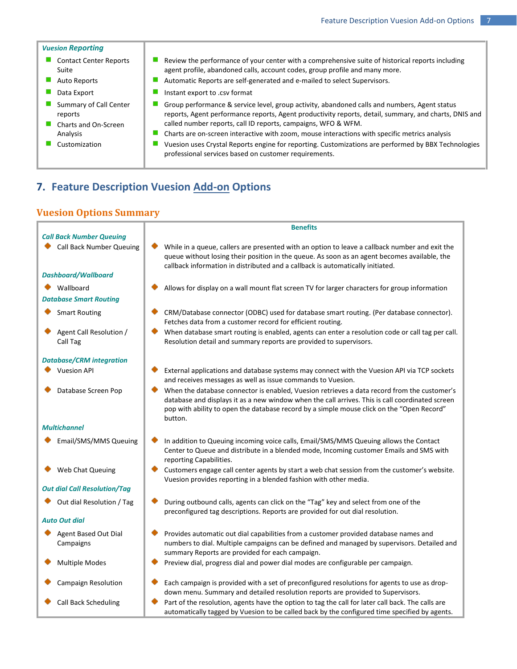#### *Vuesion Reporting*  $\mathcal{L}_{\mathcal{A}}$ Contact Center Reports T, Review the performance of your center with a comprehensive suite of historical reports including agent profile, abandoned calls, account codes, group profile and many more. Suite Auto Reports **Automatic Reports are self-generated and e-mailed to select Supervisors.** o a Data Export **Instant export to .csv format**  $\mathbf{r}$ Summary of Call Center  $\mathcal{L}_{\mathcal{A}}$ **College** reports

- п Charts and On-Screen Analysis
- **The State**
- 
- Group performance & service level, group activity, abandoned calls and numbers, Agent status reports, Agent performance reports, Agent productivity reports, detail, summary, and charts, DNIS and called number reports, call ID reports, campaigns, WFO & WFM.
- a, Charts are on-screen interactive with zoom, mouse interactions with specific metrics analysis
- Customization Vuesion uses Crystal Reports engine for reporting. Customizations are performed by BBX Technologies professional services based on customer requirements.

# **7. Feature Description Vuesion Add-on Options**

## **Vuesion Options Summary**

|                                                                    | <b>Benefits</b>                                                                                                                                                                                                                                                                                        |
|--------------------------------------------------------------------|--------------------------------------------------------------------------------------------------------------------------------------------------------------------------------------------------------------------------------------------------------------------------------------------------------|
| <b>Call Back Number Queuing</b><br><b>Call Back Number Queuing</b> | While in a queue, callers are presented with an option to leave a callback number and exit the<br>queue without losing their position in the queue. As soon as an agent becomes available, the<br>callback information in distributed and a callback is automatically initiated.                       |
| <b>Dashboard/Wallboard</b>                                         |                                                                                                                                                                                                                                                                                                        |
| Wallboard<br><b>Database Smart Routing</b>                         | Allows for display on a wall mount flat screen TV for larger characters for group information                                                                                                                                                                                                          |
| <b>Smart Routing</b>                                               | CRM/Database connector (ODBC) used for database smart routing. (Per database connector).<br>Fetches data from a customer record for efficient routing.                                                                                                                                                 |
| Agent Call Resolution /<br>Call Tag                                | When database smart routing is enabled, agents can enter a resolution code or call tag per call.<br>Resolution detail and summary reports are provided to supervisors.                                                                                                                                 |
| <b>Database/CRM integration</b>                                    |                                                                                                                                                                                                                                                                                                        |
| <b>Vuesion API</b>                                                 | External applications and database systems may connect with the Vuesion API via TCP sockets<br>and receives messages as well as issue commands to Vuesion.                                                                                                                                             |
| Database Screen Pop                                                | When the database connector is enabled, Vuesion retrieves a data record from the customer's<br>database and displays it as a new window when the call arrives. This is call coordinated screen<br>pop with ability to open the database record by a simple mouse click on the "Open Record"<br>button. |
| <b>Multichannel</b>                                                |                                                                                                                                                                                                                                                                                                        |
| Email/SMS/MMS Queuing                                              | In addition to Queuing incoming voice calls, Email/SMS/MMS Queuing allows the Contact<br>Center to Queue and distribute in a blended mode, Incoming customer Emails and SMS with<br>reporting Capabilities.                                                                                            |
| Web Chat Queuing                                                   | Customers engage call center agents by start a web chat session from the customer's website.<br>Vuesion provides reporting in a blended fashion with other media.                                                                                                                                      |
| <b>Out dial Call Resolution/Tag</b>                                |                                                                                                                                                                                                                                                                                                        |
| Out dial Resolution / Tag                                          | During outbound calls, agents can click on the "Tag" key and select from one of the<br>preconfigured tag descriptions. Reports are provided for out dial resolution.                                                                                                                                   |
| <b>Auto Out dial</b>                                               |                                                                                                                                                                                                                                                                                                        |
| <b>Agent Based Out Dial</b><br>Campaigns                           | Provides automatic out dial capabilities from a customer provided database names and<br>numbers to dial. Multiple campaigns can be defined and managed by supervisors. Detailed and<br>summary Reports are provided for each campaign.                                                                 |
| <b>Multiple Modes</b>                                              | Preview dial, progress dial and power dial modes are configurable per campaign.                                                                                                                                                                                                                        |
| Campaign Resolution                                                | Each campaign is provided with a set of preconfigured resolutions for agents to use as drop-<br>down menu. Summary and detailed resolution reports are provided to Supervisors.                                                                                                                        |
| Call Back Scheduling                                               | Part of the resolution, agents have the option to tag the call for later call back. The calls are<br>automatically tagged by Vuesion to be called back by the configured time specified by agents.                                                                                                     |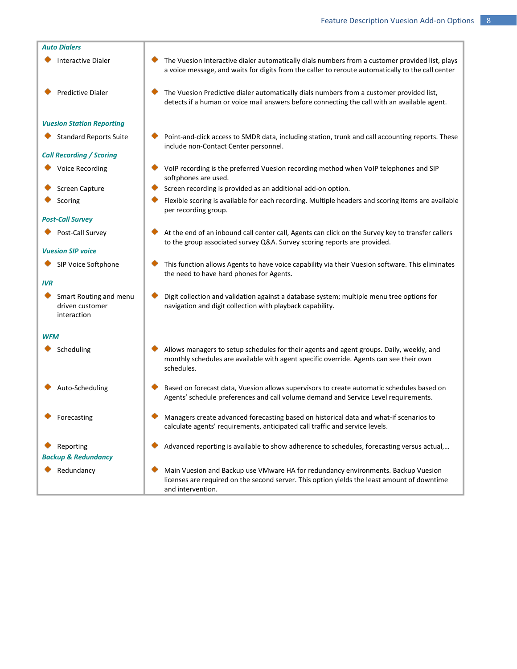- Interactive Dialer **The Vuesion Interactive dialer automatically dials numbers from a customer provided list, plays**
- Predictive Dialer **The Vuesion Predictive dialer automatically dials numbers from a customer provided list,**

#### *Vuesion Station Reporting*

#### *Call Recording / Scoring*

- 
- 
- 

## *Post-Call Survey*

#### *Vuesion SIP voice*

#### *IVR*

Smart Routing and menu driven customer interaction

#### *WFM*

- ٠
- 
- 
- 
- *Backup & Redundancy*
- 
- 

Standard Reports Suite **Point-and-click access to SMDR data**, including station, trunk and call accounting reports. These include non-Contact Center personnel.

detects if a human or voice mail answers before connecting the call with an available agent.

a voice message, and waits for digits from the caller to reroute automatically to the call center

- Voice Recording **Volup** Volp recording is the preferred Vuesion recording method when VoIP telephones and SIP softphones are used.
- Screen Capture  $\Box$  Screen recording is provided as an additional add-on option.
- Scoring Flexible scoring is available for each recording. Multiple headers and scoring items are available per recording group.
- Post-Call Survey  $\blacklozenge$  At the end of an inbound call center call, Agents can click on the Survey key to transfer callers to the group associated survey Q&A. Survey scoring reports are provided.
- SIP Voice Softphone  $\blacklozenge$  This function allows Agents to have voice capability via their Vuesion software. This eliminates the need to have hard phones for Agents.
	- ٠ Digit collection and validation against a database system; multiple menu tree options for navigation and digit collection with playback capability.
- Scheduling **Allows managers to setup schedules for their agents and agent groups. Daily, weekly, and** monthly schedules are available with agent specific override. Agents can see their own schedules.
- Auto-Scheduling **Based on forecast data, Vuesion allows supervisors to create automatic schedules based on** Agents' schedule preferences and call volume demand and Service Level requirements.
- Forecasting **Managers create advanced forecasting based on historical data and what-if scenarios to** calculate agents' requirements, anticipated call traffic and service levels.
- Reporting **Advanced reporting is available to show adherence to schedules, forecasting versus actual,...**
- Redundancy **Main Vuesion and Backup use VMware HA for redundancy environments. Backup Vuesion** licenses are required on the second server. This option yields the least amount of downtime and intervention.